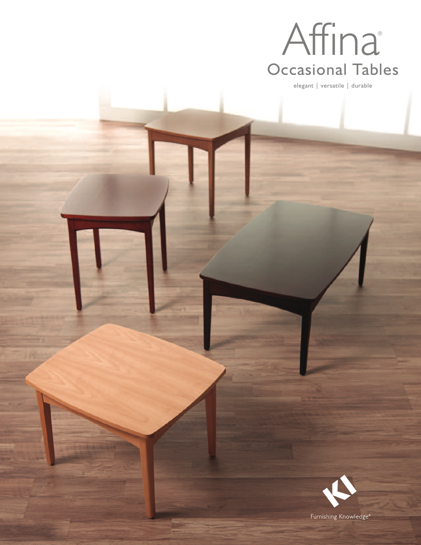

elegant | versatile | durable



Furnishing Knowledge<sup>®</sup>